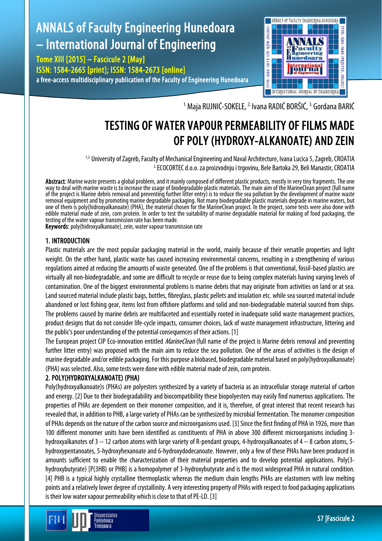# ANNALS of Faculty Engineering Hunedoara – International Journal of Engineering

Tome XIII [2015] – Fascicule 2 [May] ISSN: 1584-2665 [print]; ISSN: 1584-2673 [online] a free-access multidisciplinary publication of the Faculty of Engineering Hunedoara



<sup>1.</sup> Maja RUJNIĆ-SOKELE, <sup>2.</sup> Ivana RADIĆ BORŠIĆ, <sup>3.</sup> Gordana BARIĆ

## TESTING OF WATER VAPOUR PERMEABILITY OF FILMS MADE OF POLY (HYDROXY-ALKANOATE) AND ZEIN

<sup>1,3.</sup> University of Zagreb, Faculty of Mechanical Engineering and Naval Architecture, Ivana Lucica 5, Zagreb, CROATIA 2. ECOCORTEC d.o.o. za proizvodnju i trgovinu, Bele Bartoka 29, Beli Manastir, CROATIA

Abstract: Marine waste presents a global problem, and it mainly composed of different plastic products, mostly in very tiny fragments. The one way to deal with marine waste is to increase the usage of biodegradable plastic materials. The main aim of the MarineClean project (full name of the project is Marine debris removal and preventing further litter entry) is to reduce the sea pollution by the development of marine waste removal equipment and by promoting marine degradable packaging. Not many biodegradable plastic materials degrade in marine waters, but one of them is poly(hidroxyalkanoate) (PHA), the material chosen for the MarineClean project. In the project, some tests were also done with edible material made of zein, corn protein. In order to test the suitability of marine degradable material for making of food packaging, the testing of the water vapour transmission rate has been made.

Keywords: poly(hidroxyalkanoate), zein, water vapour transmission rate

#### 1. INTRODUCTION

Plastic materials are the most popular packaging material in the world, mainly because of their versatile properties and light weight. On the other hand, plastic waste has caused increasing environmental concerns, resulting in a strengthening of various regulations aimed at reducing the amounts of waste generated. One of the problems is that conventional, fossil-based plastics are virtually all non-biodegradable, and some are difficult to recycle or reuse due to being complex materials having varying levels of contamination. One of the biggest environmental problems is marine debris that may originate from activities on land or at sea. Land sourced material include plastic bags, bottles, fibreglass, plastic pellets and insulation etc. while sea sourced material include abandoned or lost fishing gear, items lost from offshore platforms and solid and non-biodegradable material sourced from ships. The problems caused by marine debris are multifaceted and essentially rooted in inadequate solid waste management practices, product designs that do not consider life-cycle impacts, consumer choices, lack of waste management infrastructure, littering and the public's poor understanding of the potential consequences of their actions. [1]

The European project CIP Eco-innovation entitled *MarineClean* (full name of the project is Marine debris removal and preventing further litter entry) was proposed with the main aim to reduce the sea pollution. One of the areas of activities is the design of marine degradable and/or edible packaging. For this purpose a biobased, biodegradable material based on poly(hydroxyalkanoate) (PHA) was selected. Also, some tests were done with edible material made of zein, corn protein.

### 2. POLY(HYDROXYALKANOATE) (PHA)

Poly(hydroxyalkanoate)s (PHAs) are polyesters synthesized by a variety of bacteria as an intracellular storage material of carbon and energy. [2] Due to their biodegradability and biocompatibility these biopolyesters may easily find numerous applications. The properties of PHAs are dependent on their monomer composition, and it is, therefore, of great interest that recent research has revealed that, in addition to PHB, a large variety of PHAs can be synthesized by microbial fermentation. The monomer composition of PHAs depends on the nature of the carbon source and microorganisms used. [3]Since the first finding of PHA in 1926, more than 100 different monomer units have been identified as constituents of PHA in above 300 different microorganisms including 3 hydroxyalkanotes of 3 − 12 carbon atoms with large variety of R-pendant groups, 4-hydroxyalkanoates of 4 − 8 carbon atoms, 5 hydroxypentanoates, 5-hydroxyhexanoate and 6-hydroxydodecanoate. However, only a few of these PHAs have been produced in amounts sufficient to enable the characterization of their material properties and to develop potential applications. Poly(3 hydroxybutyrate) [P(3HB) or PHB] is a homopolymer of 3-hydroxybutyrate and is the most widespread PHA in natural condition. [4] PHB is a typical highly crystalline thermoplastic whereas the medium chain lengths PHAs are elastomers with low melting points and a relatively lower degree of crystallinity. A very interesting property of PHAs with respect to food packaging applications is their low water vapour permeability which is close to that of PE-LD. [3]

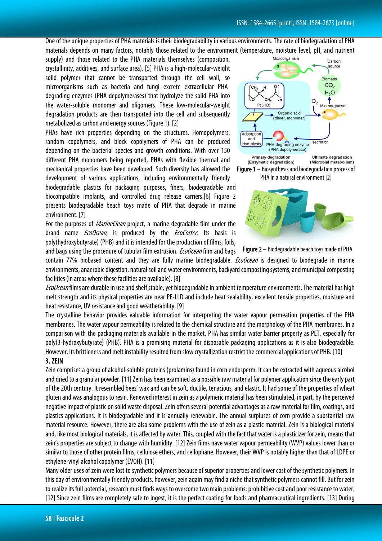One of the unique properties of PHA materials is their biodegradability in various environments. The rate of biodegradation of PHA materials depends on many factors, notably those related to the environment (temperature, moisture level, pH, and nutrient

supply) and those related to the PHA materials themselves (composition, crystallinity, additives, and surface area). [5] PHA is a high-molecular-weight solid polymer that cannot be transported through the cell wall, so microorganisms such as bacteria and fungi excrete extracellular PHAdegrading enzymes (PHA depolymerases) that hydrolyze the solid PHA into the water-soluble monomer and oligomers. These low-molecular-weight degradation products are then transported into the cell and subsequently metabolized as carbon and energy sources (Figure 1). [2]

PHAs have rich properties depending on the structures. Homopolymers, random copolymers, and block copolymers of PHA can be produced depending on the bacterial species and growth conditions. With over 150 different PHA monomers being reported, PHAs with flexible thermal and mechanical properties have been developed. Such diversity has allowed the development of various applications, including environmentally friendly

biodegradable plastics for packaging purposes, fibers, biodegradable and biocompatible implants, and controlled drug release carriers.[6] Figure 2 presents biodegradable beach toys made of PHA that degrade in marine environment. [7]

For the purposes of *MarineClean* project, a marine degradable film under the brand name *EcoOcean*, is produced by the *EcoCortec*. Its basis is poly(hydroxybutyrate) (PHB) and it is intended for the production of films, foils,

and bags using the procedure of tubular film extrusion. *EcoOcean* film and bags







contain 77% biobased content and they are fully marine biodegradable. *EcoOcean* is designed to biodegrade in marine environments, anaerobic digestion, natural soil and water environments, backyard composting systems, and municipal composting facilities (in areas where these facilities are available). [8]

EcoOcean films are durable in use and shelf stable, yet biodegradable in ambient temperature environments. The material has high melt strength and its physical properties are near PE-LLD and include heat sealability, excellent tensile properties, moisture and heat resistance, UV resistance and good weatherability. [9]

The crystalline behavior provides valuable information for interpreting the water vapour permeation properties of the PHA membranes. The water vapour permeability is related to the chemical structure and the morphology of the PHA membranes. In a comparison with the packaging materials available in the market, PHA has similar water barrier property as PET, especially for poly(3-hydroxybutyrate) (PHB). PHA is a promising material for disposable packaging applications as it is also biodegradable. However, its brittleness and melt instability resulted from slow crystallization restrict the commercial applications of PHB. [10]

#### 3. ZEIN

Zein comprises a group of alcohol-soluble proteins (prolamins) found in corn endosperm. It can be extracted with aqueous alcohol and dried to a granular powder. [11] Zein has been examined as a possible raw material for polymer application since the earlypart of the 20th century. It resembled bees' wax and can be soft, ductile, tenacious, and elastic. It had some of the properties of wheat gluten and was analogous to resin. Renewed interest in zein as a polymeric material has been stimulated, in part, by the perceived negative impact of plastic on solid waste disposal. Zein offers several potential advantages as a raw material for film, coatings, and plastics applications. It is biodegradable and it is annually renewable. The annual surpluses of corn provide a substantial raw material resource. However, there are also some problems with the use of zein as a plastic material. Zein is a biological material and, like most biological materials, it is affected by water. This, coupled with the fact that water is a plasticizer for zein, means that zein's properties are subject to change with humidity. [12] Zein films have water vapour permeability (WVP) values lower than or similar to those of other protein films, cellulose ethers, and cellophane. However, their WVP is notably higher than that of LDPE or ethylene-vinyl alcohol copolymer (EVOH). [11]

Many older uses of zein were lost to synthetic polymers because of superior properties and lower cost of the synthetic polymers. In this day of environmentally friendly products, however, zein again may find a niche that synthetic polymers cannot fill. But for zein to realize its full potential, research must finds ways to overcome two main problems: prohibitive cost and poor resistance to water. [12] Since zein films are completely safe to ingest, it is the perfect coating for foods and pharmaceutical ingredients. [13] During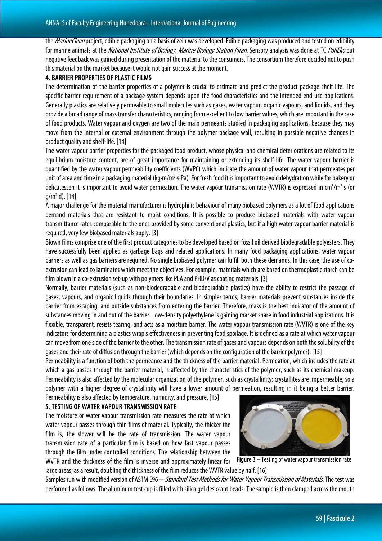the *MarineClean* project, edible packaging on a basis of zein was developed. Edible packaging was produced and tested on edibility for marine animals at the *National Institute of Biology, Marine Biology Station Piran*. Sensory analysis was done at TC PoliEkobut negative feedback was gained during presentation of the material to the consumers. The consortium therefore decided not to push this material on the market because it would not gain success at the moment.

#### 4. BARRIER PROPERTIES OF PLASTIC FILMS

The determination of the barrier properties of a polymer is crucial to estimate and predict the product-package shelf-life. The specific barrier requirement of a package system depends upon the food characteristics and the intended end-use applications. Generally plastics are relatively permeable to small molecules such as gases, water vapour, organic vapours, and liquids, and they provide a broad range of mass transfer characteristics, ranging from excellent to low barrier values, which are important in the case of food products. Water vapour and oxygen are two of the main permeants studied in packaging applications, because they may move from the internal or external environment through the polymer package wall, resulting in possible negative changes in product quality and shelf-life. [14]

The water vapour barrier properties for the packaged food product, whose physical and chemical deteriorations are related to its equilibrium moisture content, are of great importance for maintaining or extending its shelf-life. The water vapour barrier is quantified by the water vapour permeability coefficients (WVPC) which indicate the amount of water vapour that permeates per unit of area and time in a packaging material (kg·m/m<sup>2</sup>·s·Pa). For fresh food it is important to avoid dehydration while for bakery or delicatessen it is important to avoid water permeation. The water vapour transmission rate (WVTR) is expressed in cm<sup>3</sup>/m<sup>2</sup>·s (or g/m2 ·d). [14]

A major challenge for the material manufacturer is hydrophilic behaviour of many biobased polymers as a lot of food applications demand materials that are resistant to moist conditions. It is possible to produce biobased materials with water vapour transmittance rates comparable to the ones provided by some conventional plastics, but if a high water vapour barrier material is required, very few biobased materials apply. [3]

Blown films comprise one of the first product categories to be developed based on fossil oil derived biodegradable polyesters. They have successfully been applied as garbage bags and related applications. In many food packaging applications, water vapour barriers as well as gas barriers are required. No single biobased polymer can fulfill both these demands. In this case, the use of coextrusion can lead to laminates which meet the objectives. For example, materials which are based on thermoplastic starch can be film blown in a co-extrusion set-up with polymers like PLA and PHB/V as coating materials. [3]

Normally, barrier materials (such as non-biodegradable and biodegradable plastics) have the ability to restrict the passage of gases, vapours, and organic liquids through their boundaries. In simpler terms, barrier materials prevent substances inside the barrier from escaping, and outside substances from entering the barrier. Therefore, mass is the best indicator of the amount of substances moving in and out of the barrier. Low-density polyethylene is gaining market share in food industrial applications. It is flexible, transparent, resists tearing, and acts as a moisture barrier. The water vapour transmission rate (WVTR) is one of the key indicators for determining a plastics wrap's effectiveness in preventing food spoilage. It is defined as a rate at which water vapour can move from one side of the barrier to the other. The transmission rate of gases and vapours depends on both the solubility of the gases and their rate of diffusion through the barrier (which depends on the configuration of the barrier polymer). [15]

Permeability is a function of both the permeance and the thickness of the barrier material. Permeation, which includes the rate at which a gas passes through the barrier material, is affected by the characteristics of the polymer, such as its chemical makeup. Permeability is also affected by the molecular organization of the polymer, such as crystallinity: crystallites are impermeable, so a polymer with a higher degree of crystallinity will have a lower amount of permeation, resulting in it being a better barrier.

Permeability is also affected by temperature, humidity, and pressure. [15] 5. TESTING OF WATER VAPOUR TRANSMISSION RATE

The moisture or water vapour transmission rate measures the rate at which water vapour passes through thin films of material. Typically, the thicker the film is, the slower will be the rate of transmission. The water vapour transmission rate of a particular film is based on how fast vapour passes through the film under controlled conditions. The relationship between the WVTR and the thickness of the film is inverse and approximately linear for

large areas; as a result, doubling the thickness of the film reduces the WVTR value by half. [16]

Samples run with modified version of ASTM E96 – Standard Test Methods for Water Vapour Transmission of Materials. The test was performed as follows. The aluminum test cup is filled with silica gel desiccant beads. The sample is then clamped across the mouth



Figure 3 – Testing of water vapour transmission rate